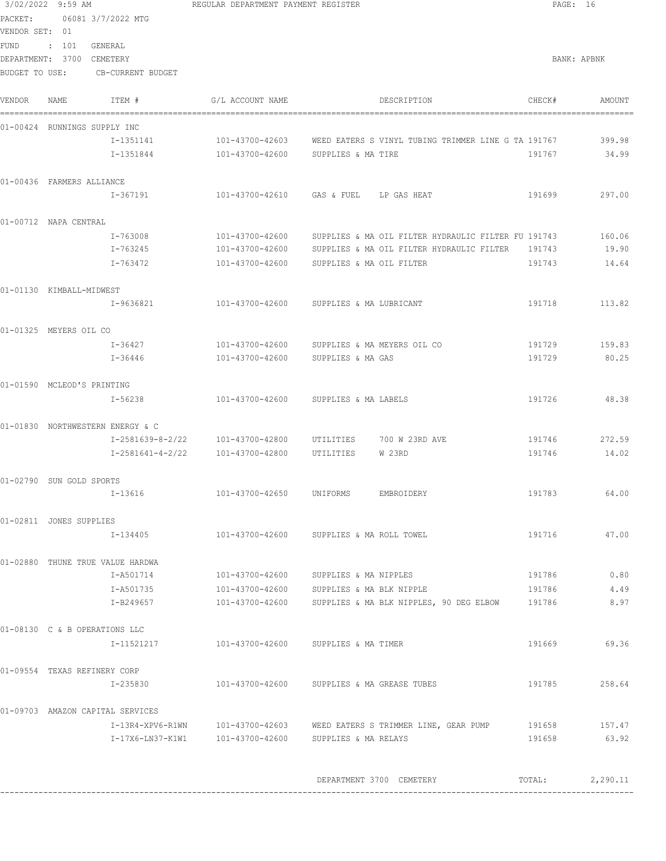|                          | 3/02/2022 9:59 AM         |                                  | REGULAR DEPARTMENT PAYMENT REGISTER                                                                                          |                                                                            |        | PAGE: 16      |
|--------------------------|---------------------------|----------------------------------|------------------------------------------------------------------------------------------------------------------------------|----------------------------------------------------------------------------|--------|---------------|
| VENDOR SET: 01           |                           | PACKET: 06081 3/7/2022 MTG       |                                                                                                                              |                                                                            |        |               |
|                          | FUND : 101 GENERAL        |                                  |                                                                                                                              |                                                                            |        |               |
|                          | DEPARTMENT: 3700 CEMETERY |                                  |                                                                                                                              |                                                                            |        | BANK: APBNK   |
|                          |                           | BUDGET TO USE: CB-CURRENT BUDGET |                                                                                                                              |                                                                            |        |               |
| VENDOR                   | NAME                      | ITEM #                           | G/L ACCOUNT NAME                                                                                                             | DESCRIPTION                                                                | CHECK# | AMOUNT        |
|                          |                           | 01-00424 RUNNINGS SUPPLY INC     |                                                                                                                              |                                                                            |        |               |
|                          |                           | I-1351141                        |                                                                                                                              | 101-43700-42603 WEED EATERS S VINYL TUBING TRIMMER LINE G TA 191767 399.98 |        |               |
|                          |                           |                                  |                                                                                                                              |                                                                            | 191767 | 34.99         |
|                          | 01-00436 FARMERS ALLIANCE |                                  |                                                                                                                              |                                                                            |        |               |
|                          |                           | I-367191                         | 101-43700-42610 GAS & FUEL LP GAS HEAT                                                                                       |                                                                            | 191699 | 297.00        |
|                          | 01-00712 NAPA CENTRAL     |                                  |                                                                                                                              |                                                                            |        |               |
|                          |                           | I-763008                         |                                                                                                                              | 101-43700-42600 SUPPLIES & MA OIL FILTER HYDRAULIC FILTER FU 191743        |        | 160.06        |
|                          |                           | I-763245                         |                                                                                                                              | 101-43700-42600 SUPPLIES & MA OIL FILTER HYDRAULIC FILTER 191743           |        | 19.90         |
|                          |                           | I-763472                         | 101-43700-42600 SUPPLIES & MA OIL FILTER                                                                                     |                                                                            | 191743 | 14.64         |
| 01-01130 KIMBALL-MIDWEST |                           |                                  |                                                                                                                              |                                                                            |        |               |
|                          |                           | I-9636821                        | 101-43700-42600 SUPPLIES & MA LUBRICANT                                                                                      |                                                                            | 191718 | 113.82        |
|                          | 01-01325 MEYERS OIL CO    |                                  |                                                                                                                              |                                                                            |        |               |
|                          |                           | I-36427                          | 101-43700-42600 SUPPLIES & MA MEYERS OIL CO                                                                                  |                                                                            |        | 191729 159.83 |
|                          |                           | I-36446                          | 101-43700-42600 SUPPLIES & MA GAS                                                                                            |                                                                            | 191729 | 80.25         |
|                          |                           | 01-01590 MCLEOD'S PRINTING       |                                                                                                                              |                                                                            |        |               |
|                          |                           | I-56238                          | 101-43700-42600 SUPPLIES & MA LABELS                                                                                         |                                                                            | 191726 | 48.38         |
|                          |                           | 01-01830 NORTHWESTERN ENERGY & C |                                                                                                                              |                                                                            |        |               |
|                          |                           |                                  | I-2581639-8-2/22                     101-43700-42800                           UTILITIES                      700 W 23RD AVE |                                                                            | 191746 | 272.59        |
|                          |                           |                                  |                                                                                                                              |                                                                            | 191746 | 14.02         |
|                          | 01-02790 SUN GOLD SPORTS  |                                  |                                                                                                                              |                                                                            |        |               |
|                          |                           | $I-13616$                        | 101-43700-42650 UNIFORMS EMBROIDERY                                                                                          |                                                                            | 191783 | 64.00         |
|                          | 01-02811 JONES SUPPLIES   |                                  |                                                                                                                              |                                                                            |        |               |
|                          |                           | I-134405                         | 101-43700-42600 SUPPLIES & MA ROLL TOWEL                                                                                     |                                                                            | 191716 | 47.00         |
|                          |                           | 01-02880 THUNE TRUE VALUE HARDWA |                                                                                                                              |                                                                            |        |               |
|                          |                           | I-A501714                        | 101-43700-42600 SUPPLIES & MA NIPPLES                                                                                        |                                                                            | 191786 | 0.80          |
|                          |                           | I-A501735                        | 101-43700-42600 SUPPLIES & MA BLK NIPPLE                                                                                     |                                                                            | 191786 | 4.49          |
|                          |                           | I-B249657                        |                                                                                                                              | 101-43700-42600 SUPPLIES & MA BLK NIPPLES, 90 DEG ELBOW 191786             |        | 8.97          |
|                          |                           | 01-08130 C & B OPERATIONS LLC    |                                                                                                                              |                                                                            |        |               |
|                          |                           |                                  |                                                                                                                              |                                                                            |        | 191669 69.36  |
|                          |                           | 01-09554 TEXAS REFINERY CORP     |                                                                                                                              |                                                                            |        |               |
|                          |                           | I-235830                         | 101-43700-42600 SUPPLIES & MA GREASE TUBES                                                                                   |                                                                            | 191785 | 258.64        |
|                          |                           | 01-09703 AMAZON CAPITAL SERVICES |                                                                                                                              |                                                                            |        |               |
|                          |                           |                                  |                                                                                                                              | I-13R4-XPV6-R1WN 101-43700-42603 WEED EATERS S TRIMMER LINE, GEAR PUMP     | 191658 | 157.47        |
|                          |                           |                                  |                                                                                                                              |                                                                            | 191658 | 63.92         |
|                          |                           |                                  |                                                                                                                              |                                                                            |        |               |
|                          |                           |                                  |                                                                                                                              | DEPARTMENT 3700 CEMETERY                                                   | TOTAL: | 2,290.11      |
|                          |                           |                                  |                                                                                                                              |                                                                            |        |               |